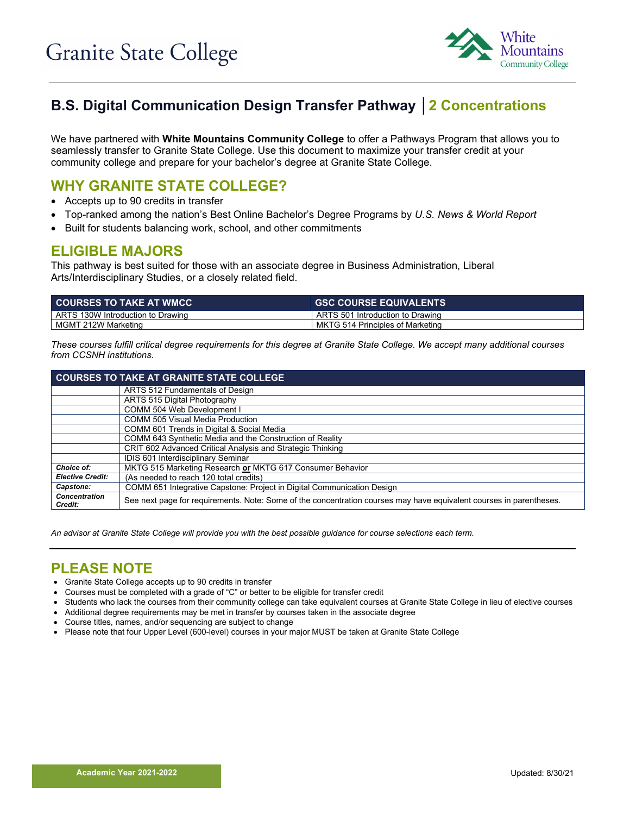

# **B.S. Digital Communication Design Transfer Pathway │2 Concentrations**

We have partnered with **White Mountains Community College** to offer a Pathways Program that allows you to seamlessly transfer to Granite State College. Use this document to maximize your transfer credit at your community college and prepare for your bachelor's degree at Granite State College.

### **WHY GRANITE STATE COLLEGE?**

- Accepts up to 90 credits in transfer
- Top-ranked among the nation's Best Online Bachelor's Degree Programs by *U.S. News & World Report*
- Built for students balancing work, school, and other commitments

#### **ELIGIBLE MAJORS**

This pathway is best suited for those with an associate degree in Business Administration, Liberal Arts/Interdisciplinary Studies, or a closely related field.

| <b>GSC COURSE EQUIVALENTS</b>    |
|----------------------------------|
| ARTS 501 Introduction to Drawing |
| MKTG 514 Principles of Marketing |
|                                  |

*These courses fulfill critical degree requirements for this degree at Granite State College. We accept many additional courses from CCSNH institutions.*

| <b>COURSES TO TAKE AT GRANITE STATE COLLEGE</b> |                                                                                                                     |  |  |  |
|-------------------------------------------------|---------------------------------------------------------------------------------------------------------------------|--|--|--|
|                                                 | ARTS 512 Fundamentals of Design                                                                                     |  |  |  |
|                                                 | ARTS 515 Digital Photography                                                                                        |  |  |  |
|                                                 | COMM 504 Web Development I                                                                                          |  |  |  |
|                                                 | <b>COMM 505 Visual Media Production</b>                                                                             |  |  |  |
|                                                 | COMM 601 Trends in Digital & Social Media                                                                           |  |  |  |
|                                                 | COMM 643 Synthetic Media and the Construction of Reality                                                            |  |  |  |
|                                                 | CRIT 602 Advanced Critical Analysis and Strategic Thinking                                                          |  |  |  |
|                                                 | IDIS 601 Interdisciplinary Seminar                                                                                  |  |  |  |
| Choice of:                                      | MKTG 515 Marketing Research or MKTG 617 Consumer Behavior                                                           |  |  |  |
| <b>Elective Credit:</b>                         | (As needed to reach 120 total credits)                                                                              |  |  |  |
| Capstone:                                       | COMM 651 Integrative Capstone: Project in Digital Communication Design                                              |  |  |  |
| <b>Concentration</b><br>Credit:                 | See next page for requirements. Note: Some of the concentration courses may have equivalent courses in parentheses. |  |  |  |

*An advisor at Granite State College will provide you with the best possible guidance for course selections each term.*

## **PLEASE NOTE**

- Granite State College accepts up to 90 credits in transfer
- Courses must be completed with a grade of "C" or better to be eligible for transfer credit
- Students who lack the courses from their community college can take equivalent courses at Granite State College in lieu of elective courses
- Additional degree requirements may be met in transfer by courses taken in the associate degree
- Course titles, names, and/or sequencing are subject to change
- Please note that four Upper Level (600-level) courses in your major MUST be taken at Granite State College